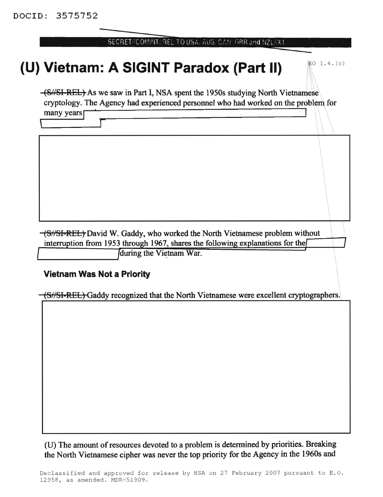| ' SECRET#COMINT#BEL TO USA. AUS. CAN. GBR and NZL#X1. |  |  |
|-------------------------------------------------------|--|--|
|                                                       |  |  |

## **(U) Vietnam: A SIGINT Paradox (Part II)**  $\mathbb{R}^{6}$  1.4. (c)

•

(SN8I REL) As we saw in Part I, NSA spent the 1950s studying North Vietnamese\ cryptoJogy. The Agency had experienced personnel who had worked on the problem for  $\frac{1}{2}$  many years  $\frac{1}{2}$  . The rightly rate dispersed by problems who had worked on the property  $\frac{1}{2}$ 

\ r

(S//SI-REL) David W. Gaddy, who worked the North Vietnamese problem without interruption from 1953 through 1967, shares the following explanations for the

**J**during the Vietnam War.

## **Vietnam Was Not a Priority**

'----------------~

(S//SI-REL) Gaddy recognized that the North Vietnamese were excellent cryptographers.

(U) The amount of resources devoted to a problem is determined by priorities. Breaking the North Vietnamese cipher was never the top priority for the Agency in the 1960s and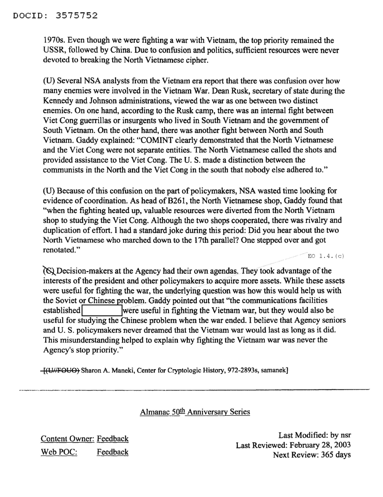1970s. Even though we were fighting a war with Vietnam, the top priority remained the USSR, followed by China. Due to confusion and politics, sufficient resources were never devoted to breaking the North Vietnamese cipher.

(U) Several NSA analysts from the Vietnam era report that there was confusion over how many enemies were involved in the Vietnam War. Dean Rusk, secretary of state during the Kennedy and Johnson administrations, viewed the war as one between two distinct enemies. On one hand, according to the Rusk camp, there was an internal fight between Viet Cong guerrillas or insurgents who lived in South Vietnam and the government of South Vietnam. On the other hand, there was another fight between North and South Vietnam. Gaddy explained: "COMINT clearly demonstrated that the North Vietnamese and the Viet Cong were not separate entities. The North Vietnamese called the shots and provided assistance to the Viet Cong. The U.S. made a distinction between the communists in the North and the Viet Cong in the south that nobody else adhered to."

(U) Because of this confusion on the part of policymakers, NSA wasted time looking for evidence of coordination. As head of B261, the North Vietnamese shop, Gaddy found that "when the fighting heated up, valuable resources were diverted from the North Vietnam shop to studying the Viet Cong. Although the two shops cooperated, there was rivalry and duplication of effort. I had a standard joke during this period: Did you hear about the two North Vietnamese who marched down to the 17th parallel? One stepped over and got renotated." EO  $1.4.$  (c)

 $\alpha$  Decision-makers at the Agency had their own agendas. They took advantage of the interests of the president and other policymakers to acquire more assets. While these assets were useful for fighting the war, the underlying question was how this would help us with the Soviet or Chinese problem. Gaddy pointed out that "the communications facilities established **lace is a very were useful in fighting the Vietnam war, but they would also be** useful for studying the Chinese problem when the war ended. I believe that Agency seniors and U.S. policymakers never dreamed that the Vietnam war would last as long as it did. This misunderstanding helped to explain why fighting the Vietnam war was never the Agency's stop priority."

[(Uf/fOUO~ Sharon A. Maneki, Center for Cryptologic History, 972-2893s, samanek] -------

Almanac 50th Anniversary Series

Content Owner: Feedback Web POC: Feedback

Last Modified: by nsr Last Reviewed: February 28, 2003 Next Review: 365 days